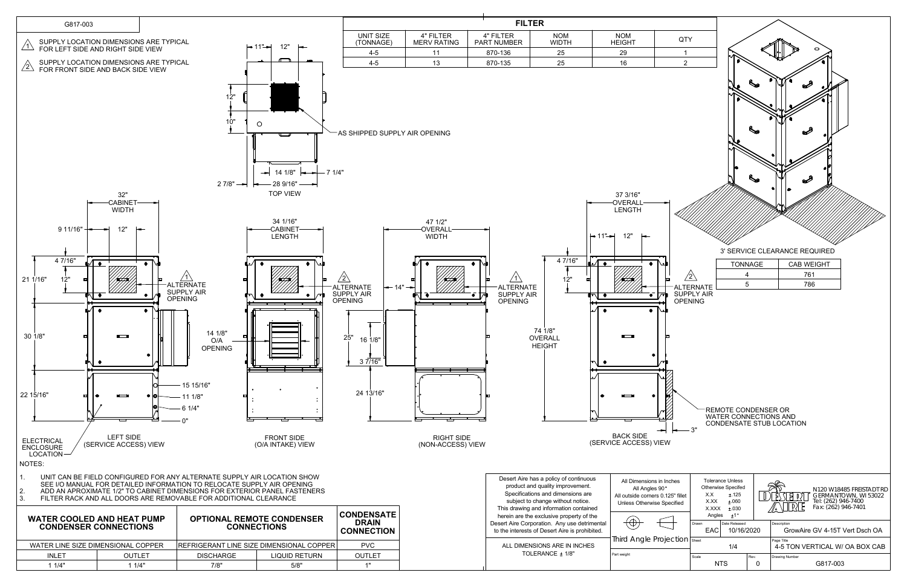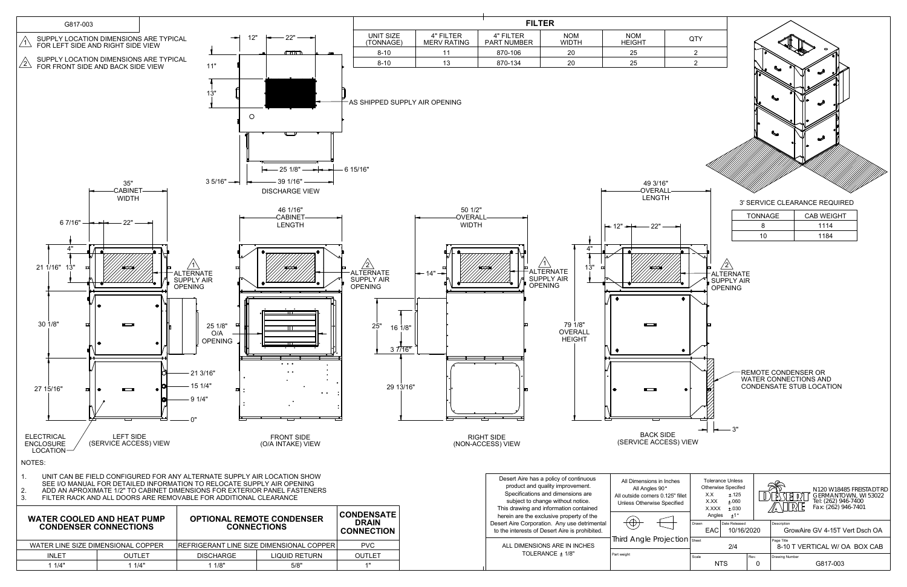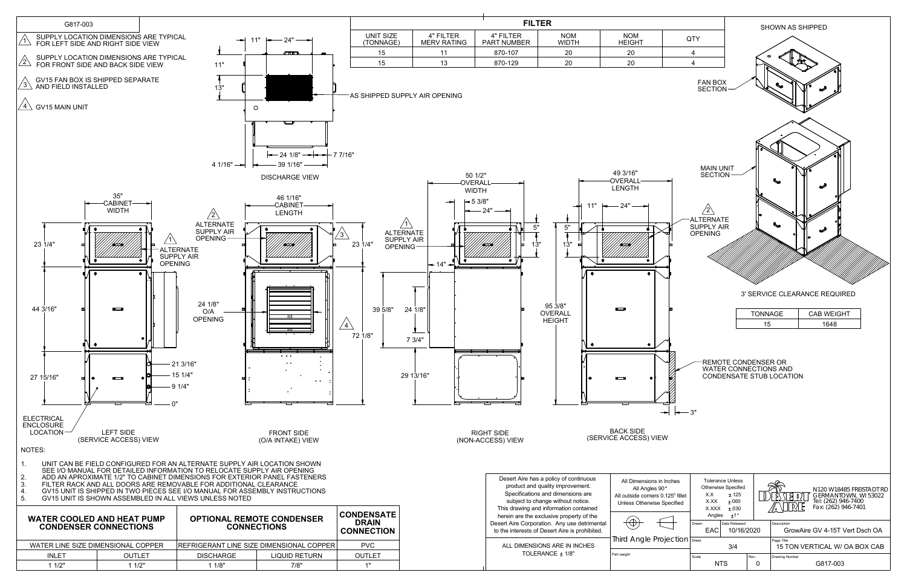